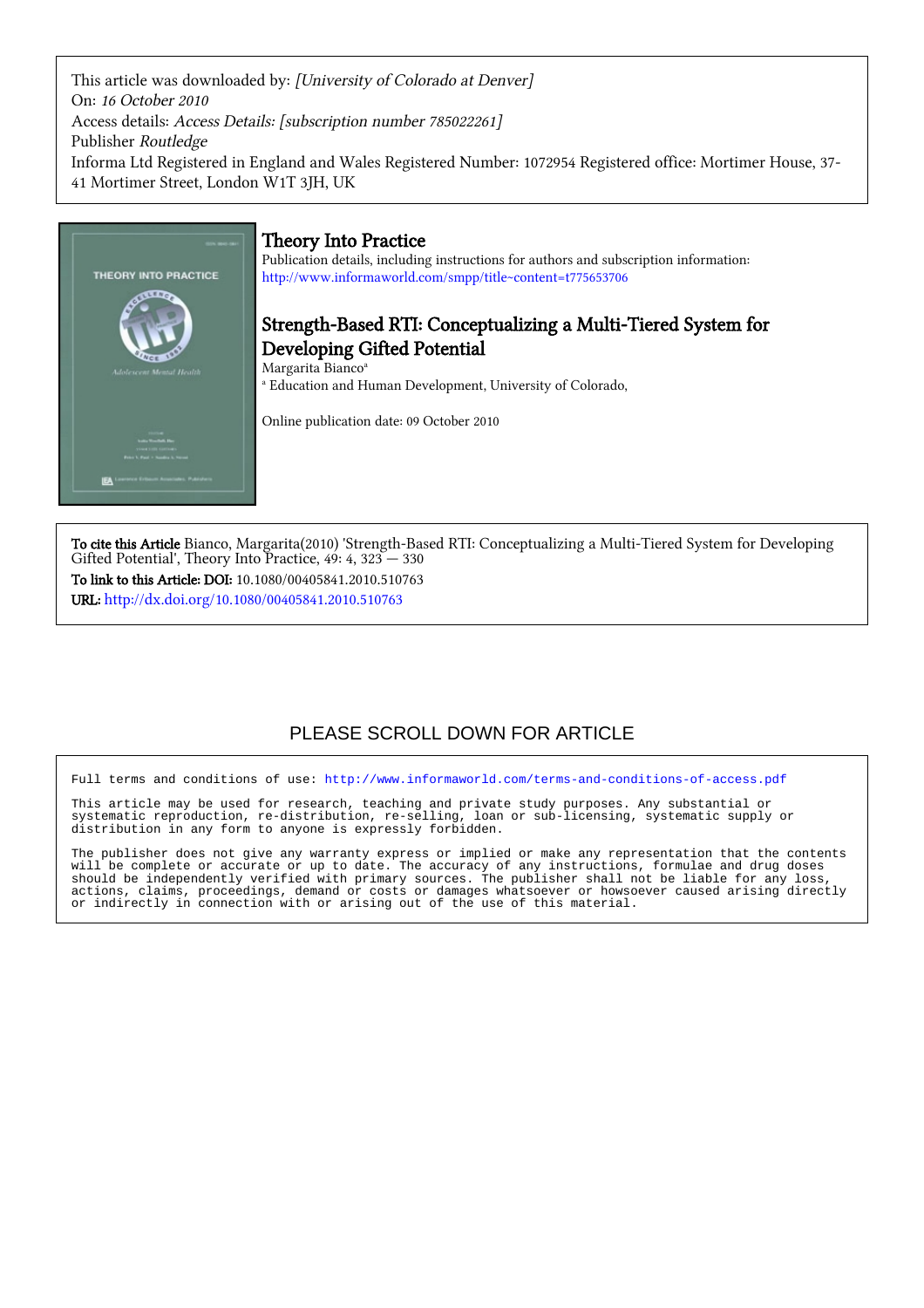This article was downloaded by: [University of Colorado at Denver] On: 16 October 2010 Access details: Access Details: [subscription number 785022261] Publisher Routledge Informa Ltd Registered in England and Wales Registered Number: 1072954 Registered office: Mortimer House, 37- 41 Mortimer Street, London W1T 3JH, UK



# Theory Into Practice

Publication details, including instructions for authors and subscription information: <http://www.informaworld.com/smpp/title~content=t775653706>

# Strength-Based RTI: Conceptualizing a Multi-Tiered System for Developing Gifted Potential

Margarita Bianco<sup>a</sup> a Education and Human Development, University of Colorado,

Online publication date: 09 October 2010

To cite this Article Bianco, Margarita(2010) 'Strength-Based RTI: Conceptualizing a Multi-Tiered System for Developing Gifted Potential', Theory Into Practice, 49: 4, 323 — 330

To link to this Article: DOI: 10.1080/00405841.2010.510763 URL: <http://dx.doi.org/10.1080/00405841.2010.510763>

# PLEASE SCROLL DOWN FOR ARTICLE

Full terms and conditions of use:<http://www.informaworld.com/terms-and-conditions-of-access.pdf>

This article may be used for research, teaching and private study purposes. Any substantial or systematic reproduction, re-distribution, re-selling, loan or sub-licensing, systematic supply or distribution in any form to anyone is expressly forbidden.

The publisher does not give any warranty express or implied or make any representation that the contents will be complete or accurate or up to date. The accuracy of any instructions, formulae and drug doses should be independently verified with primary sources. The publisher shall not be liable for any loss, actions, claims, proceedings, demand or costs or damages whatsoever or howsoever caused arising directly or indirectly in connection with or arising out of the use of this material.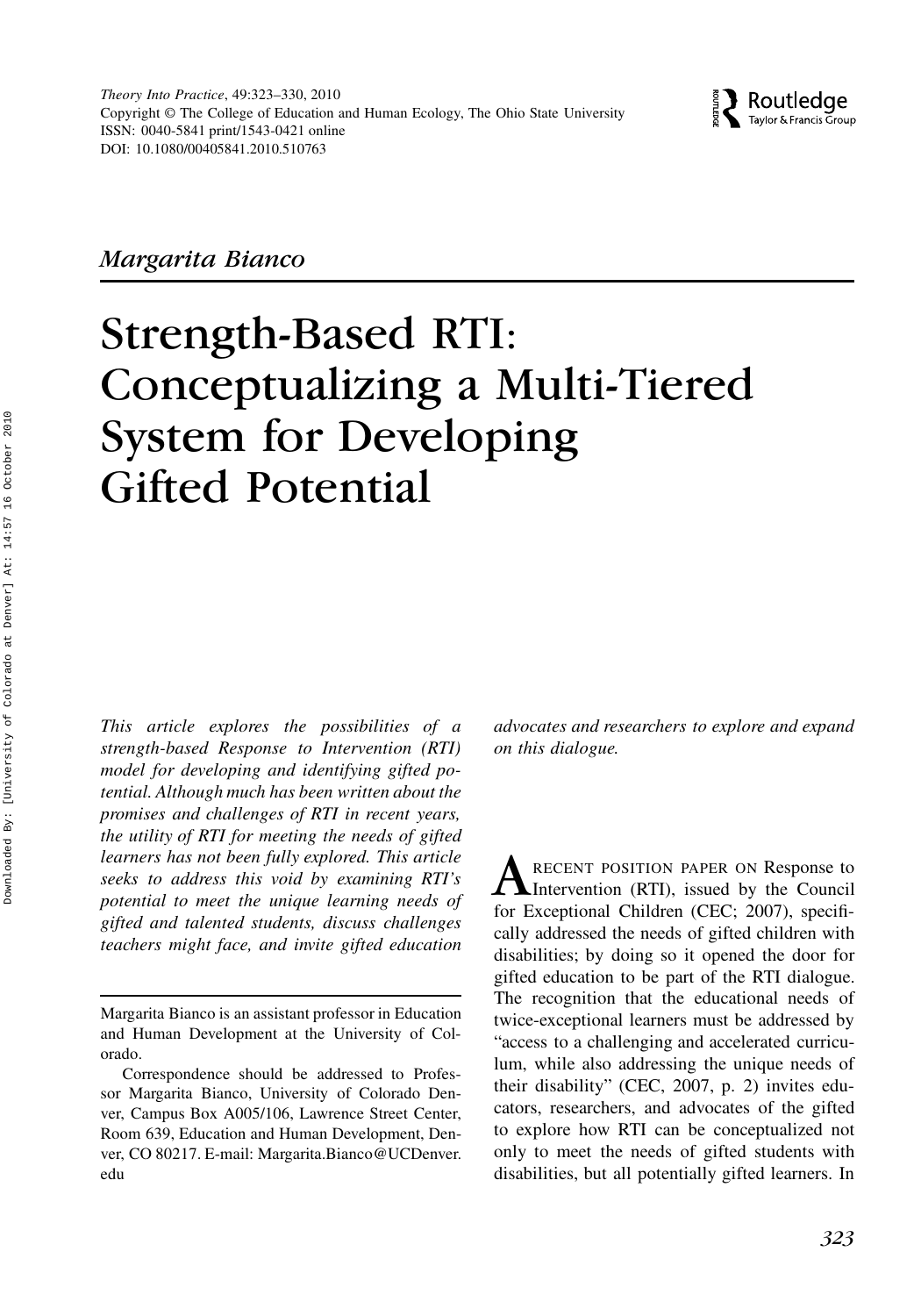

Margarita Bianco

# Strength-Based RTI: Conceptualizing a Multi-Tiered System for Developing Gifted Potential

This article explores the possibilities of a strength-based Response to Intervention (RTI) model for developing and identifying gifted potential. Although much has been written about the promises and challenges of RTI in recent years, the utility of RTI for meeting the needs of gifted learners has not been fully explored. This article seeks to address this void by examining RTI's potential to meet the unique learning needs of gifted and talented students, discuss challenges teachers might face, and invite gifted education

advocates and researchers to explore and expand on this dialogue.

**A RECENT POSITION PAPER ON Response to**<br>**A** Intervention (RTI), issued by the Council RECENT POSITION PAPER ON Response to for Exceptional Children (CEC; 2007), specifically addressed the needs of gifted children with disabilities; by doing so it opened the door for gifted education to be part of the RTI dialogue. The recognition that the educational needs of twice-exceptional learners must be addressed by "access to a challenging and accelerated curriculum, while also addressing the unique needs of their disability" (CEC, 2007, p. 2) invites educators, researchers, and advocates of the gifted to explore how RTI can be conceptualized not only to meet the needs of gifted students with disabilities, but all potentially gifted learners. In

Margarita Bianco is an assistant professor in Education and Human Development at the University of Colorado.

Correspondence should be addressed to Professor Margarita Bianco, University of Colorado Denver, Campus Box A005/106, Lawrence Street Center, Room 639, Education and Human Development, Denver, CO 80217. E-mail: Margarita.Bianco@UCDenver. edu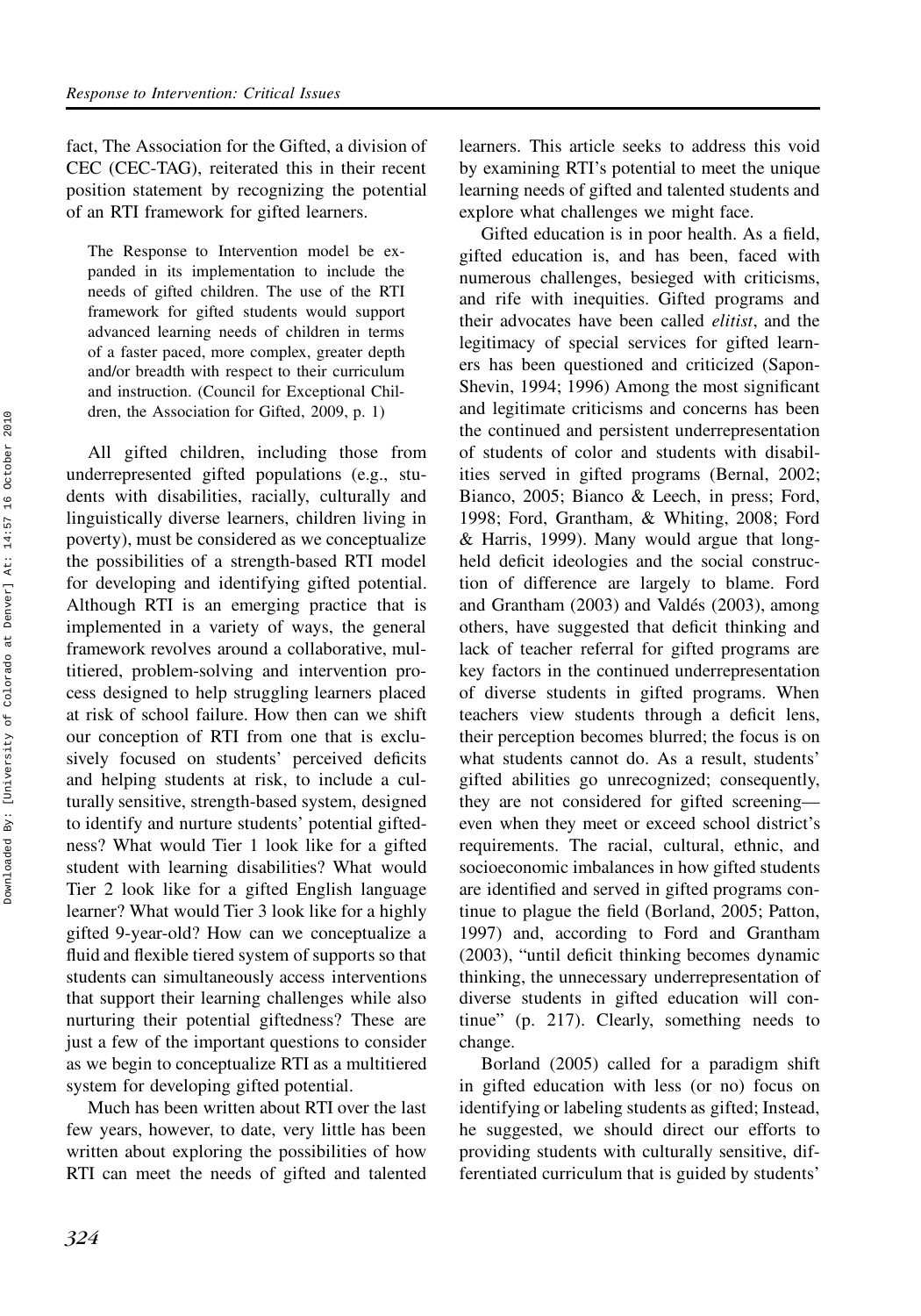fact, The Association for the Gifted, a division of CEC (CEC-TAG), reiterated this in their recent position statement by recognizing the potential of an RTI framework for gifted learners.

The Response to Intervention model be expanded in its implementation to include the needs of gifted children. The use of the RTI framework for gifted students would support advanced learning needs of children in terms of a faster paced, more complex, greater depth and/or breadth with respect to their curriculum and instruction. (Council for Exceptional Children, the Association for Gifted, 2009, p. 1)

All gifted children, including those from underrepresented gifted populations (e.g., students with disabilities, racially, culturally and linguistically diverse learners, children living in poverty), must be considered as we conceptualize the possibilities of a strength-based RTI model for developing and identifying gifted potential. Although RTI is an emerging practice that is implemented in a variety of ways, the general framework revolves around a collaborative, multitiered, problem-solving and intervention process designed to help struggling learners placed at risk of school failure. How then can we shift our conception of RTI from one that is exclusively focused on students' perceived deficits and helping students at risk, to include a culturally sensitive, strength-based system, designed to identify and nurture students' potential giftedness? What would Tier 1 look like for a gifted student with learning disabilities? What would Tier 2 look like for a gifted English language learner? What would Tier 3 look like for a highly gifted 9-year-old? How can we conceptualize a fluid and flexible tiered system of supports so that students can simultaneously access interventions that support their learning challenges while also nurturing their potential giftedness? These are just a few of the important questions to consider as we begin to conceptualize RTI as a multitiered system for developing gifted potential.

Much has been written about RTI over the last few years, however, to date, very little has been written about exploring the possibilities of how RTI can meet the needs of gifted and talented learners. This article seeks to address this void by examining RTI's potential to meet the unique learning needs of gifted and talented students and explore what challenges we might face.

Gifted education is in poor health. As a field, gifted education is, and has been, faced with numerous challenges, besieged with criticisms, and rife with inequities. Gifted programs and their advocates have been called elitist, and the legitimacy of special services for gifted learners has been questioned and criticized (Sapon-Shevin, 1994; 1996) Among the most significant and legitimate criticisms and concerns has been the continued and persistent underrepresentation of students of color and students with disabilities served in gifted programs (Bernal, 2002; Bianco, 2005; Bianco & Leech, in press; Ford, 1998; Ford, Grantham, & Whiting, 2008; Ford & Harris, 1999). Many would argue that longheld deficit ideologies and the social construction of difference are largely to blame. Ford and Grantham (2003) and Valdés (2003), among others, have suggested that deficit thinking and lack of teacher referral for gifted programs are key factors in the continued underrepresentation of diverse students in gifted programs. When teachers view students through a deficit lens, their perception becomes blurred; the focus is on what students cannot do. As a result, students' gifted abilities go unrecognized; consequently, they are not considered for gifted screening even when they meet or exceed school district's requirements. The racial, cultural, ethnic, and socioeconomic imbalances in how gifted students are identified and served in gifted programs continue to plague the field (Borland, 2005; Patton, 1997) and, according to Ford and Grantham (2003), "until deficit thinking becomes dynamic thinking, the unnecessary underrepresentation of diverse students in gifted education will continue" (p. 217). Clearly, something needs to change.

Borland (2005) called for a paradigm shift in gifted education with less (or no) focus on identifying or labeling students as gifted; Instead, he suggested, we should direct our efforts to providing students with culturally sensitive, differentiated curriculum that is guided by students'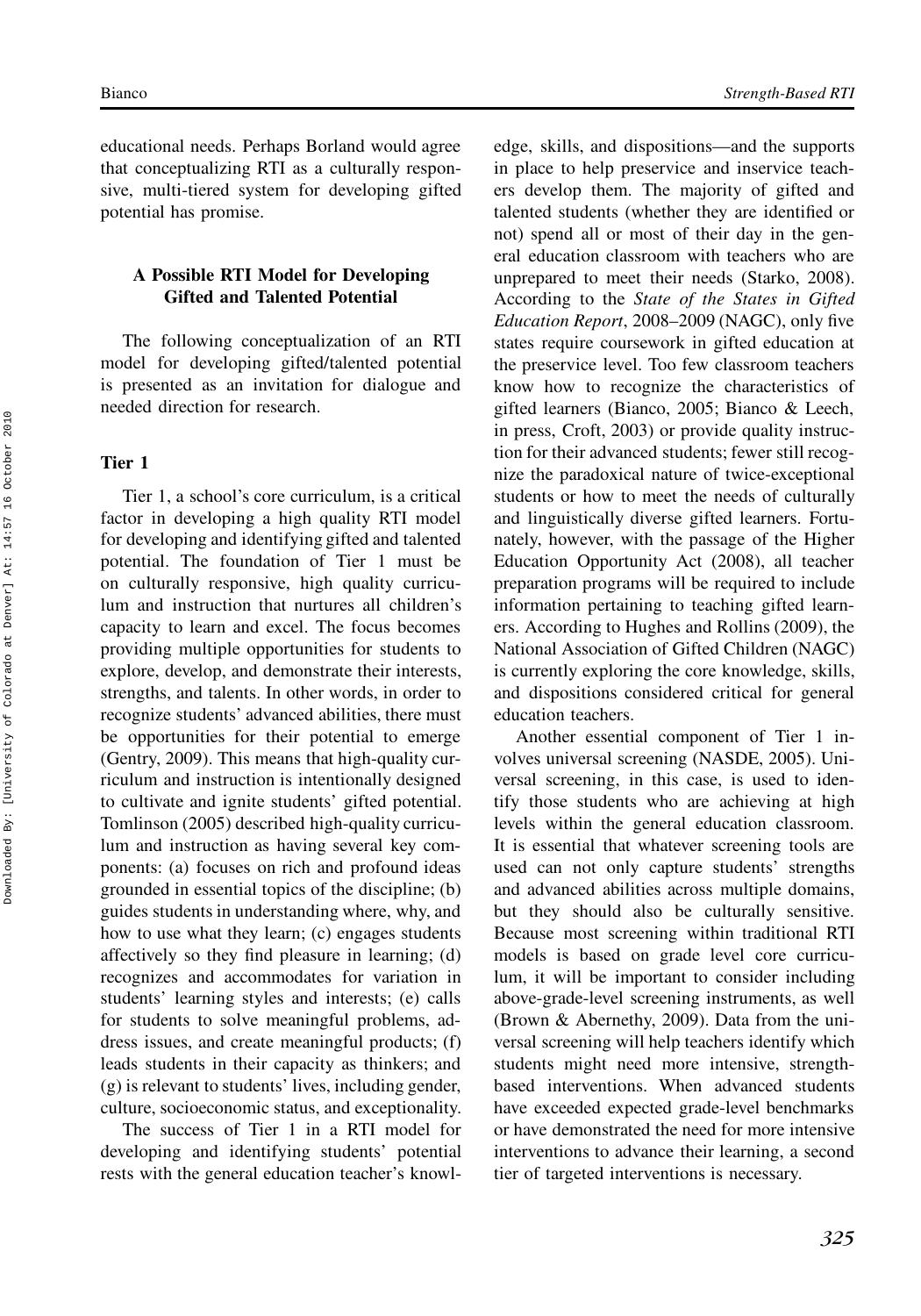educational needs. Perhaps Borland would agree that conceptualizing RTI as a culturally responsive, multi-tiered system for developing gifted potential has promise.

# A Possible RTI Model for Developing Gifted and Talented Potential

The following conceptualization of an RTI model for developing gifted/talented potential is presented as an invitation for dialogue and needed direction for research.

# Tier 1

Tier 1, a school's core curriculum, is a critical factor in developing a high quality RTI model for developing and identifying gifted and talented potential. The foundation of Tier 1 must be on culturally responsive, high quality curriculum and instruction that nurtures all children's capacity to learn and excel. The focus becomes providing multiple opportunities for students to explore, develop, and demonstrate their interests, strengths, and talents. In other words, in order to recognize students' advanced abilities, there must be opportunities for their potential to emerge (Gentry, 2009). This means that high-quality curriculum and instruction is intentionally designed to cultivate and ignite students' gifted potential. Tomlinson (2005) described high-quality curriculum and instruction as having several key components: (a) focuses on rich and profound ideas grounded in essential topics of the discipline; (b) guides students in understanding where, why, and how to use what they learn; (c) engages students affectively so they find pleasure in learning; (d) recognizes and accommodates for variation in students' learning styles and interests; (e) calls for students to solve meaningful problems, address issues, and create meaningful products; (f) leads students in their capacity as thinkers; and (g) is relevant to students' lives, including gender, culture, socioeconomic status, and exceptionality.

The success of Tier 1 in a RTI model for developing and identifying students' potential rests with the general education teacher's knowl-

edge, skills, and dispositions—and the supports in place to help preservice and inservice teachers develop them. The majority of gifted and talented students (whether they are identified or not) spend all or most of their day in the general education classroom with teachers who are unprepared to meet their needs (Starko, 2008). According to the State of the States in Gifted Education Report, 2008–2009 (NAGC), only five states require coursework in gifted education at the preservice level. Too few classroom teachers know how to recognize the characteristics of gifted learners (Bianco, 2005; Bianco & Leech, in press, Croft, 2003) or provide quality instruction for their advanced students; fewer still recognize the paradoxical nature of twice-exceptional students or how to meet the needs of culturally and linguistically diverse gifted learners. Fortunately, however, with the passage of the Higher Education Opportunity Act (2008), all teacher preparation programs will be required to include information pertaining to teaching gifted learners. According to Hughes and Rollins (2009), the National Association of Gifted Children (NAGC) is currently exploring the core knowledge, skills, and dispositions considered critical for general education teachers.

Another essential component of Tier 1 involves universal screening (NASDE, 2005). Universal screening, in this case, is used to identify those students who are achieving at high levels within the general education classroom. It is essential that whatever screening tools are used can not only capture students' strengths and advanced abilities across multiple domains, but they should also be culturally sensitive. Because most screening within traditional RTI models is based on grade level core curriculum, it will be important to consider including above-grade-level screening instruments, as well (Brown & Abernethy, 2009). Data from the universal screening will help teachers identify which students might need more intensive, strengthbased interventions. When advanced students have exceeded expected grade-level benchmarks or have demonstrated the need for more intensive interventions to advance their learning, a second tier of targeted interventions is necessary.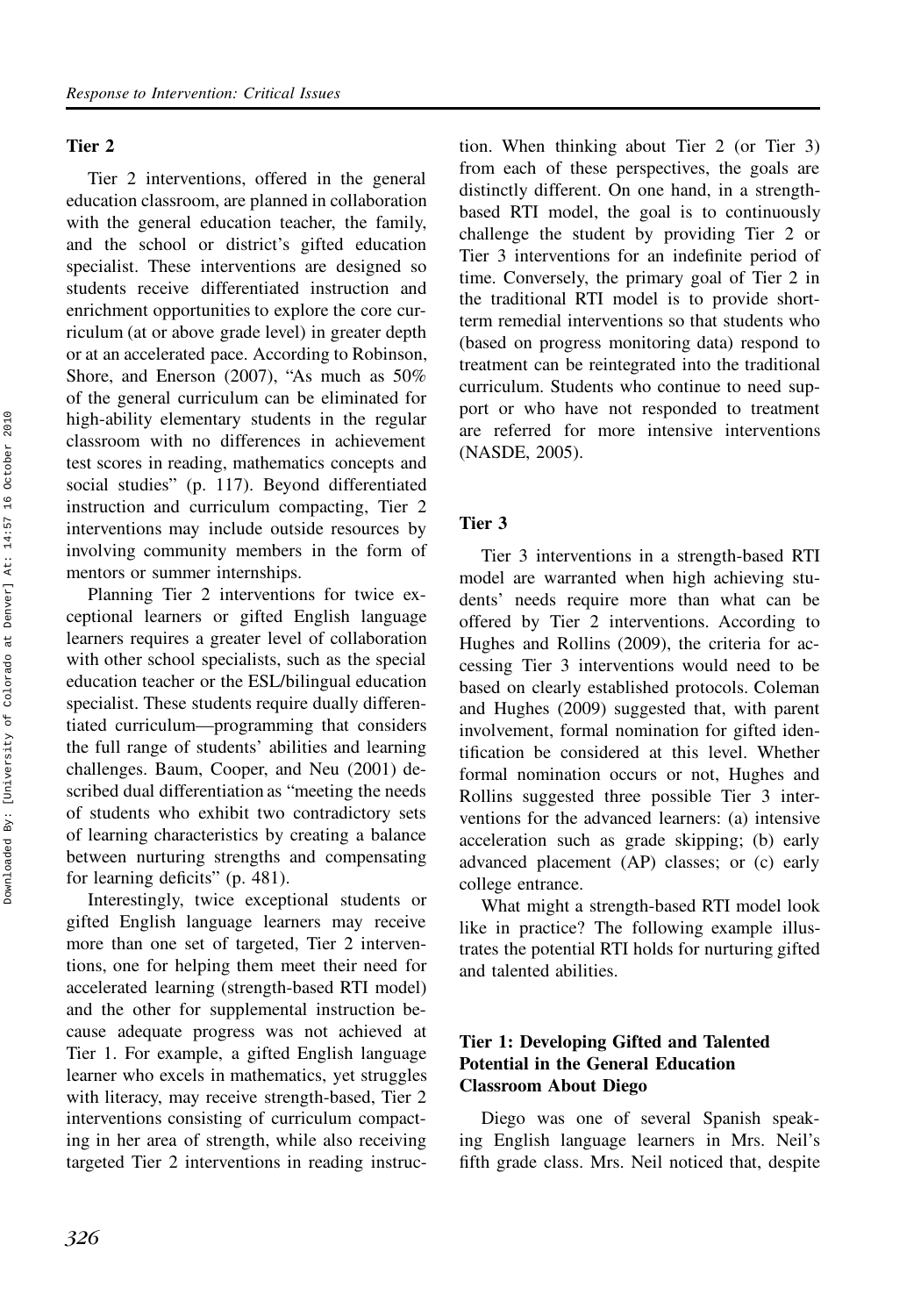#### Tier 2

Tier 2 interventions, offered in the general education classroom, are planned in collaboration with the general education teacher, the family, and the school or district's gifted education specialist. These interventions are designed so students receive differentiated instruction and enrichment opportunities to explore the core curriculum (at or above grade level) in greater depth or at an accelerated pace. According to Robinson, Shore, and Enerson (2007), "As much as 50% of the general curriculum can be eliminated for high-ability elementary students in the regular classroom with no differences in achievement test scores in reading, mathematics concepts and social studies" (p. 117). Beyond differentiated instruction and curriculum compacting, Tier 2 interventions may include outside resources by involving community members in the form of mentors or summer internships.

Planning Tier 2 interventions for twice exceptional learners or gifted English language learners requires a greater level of collaboration with other school specialists, such as the special education teacher or the ESL/bilingual education specialist. These students require dually differentiated curriculum—programming that considers the full range of students' abilities and learning challenges. Baum, Cooper, and Neu (2001) described dual differentiation as "meeting the needs of students who exhibit two contradictory sets of learning characteristics by creating a balance between nurturing strengths and compensating for learning deficits" (p. 481).

Interestingly, twice exceptional students or gifted English language learners may receive more than one set of targeted, Tier 2 interventions, one for helping them meet their need for accelerated learning (strength-based RTI model) and the other for supplemental instruction because adequate progress was not achieved at Tier 1. For example, a gifted English language learner who excels in mathematics, yet struggles with literacy, may receive strength-based, Tier 2 interventions consisting of curriculum compacting in her area of strength, while also receiving targeted Tier 2 interventions in reading instruction. When thinking about Tier 2 (or Tier 3) from each of these perspectives, the goals are distinctly different. On one hand, in a strengthbased RTI model, the goal is to continuously challenge the student by providing Tier 2 or Tier 3 interventions for an indefinite period of time. Conversely, the primary goal of Tier 2 in the traditional RTI model is to provide shortterm remedial interventions so that students who (based on progress monitoring data) respond to treatment can be reintegrated into the traditional curriculum. Students who continue to need support or who have not responded to treatment are referred for more intensive interventions (NASDE, 2005).

## Tier 3

Tier 3 interventions in a strength-based RTI model are warranted when high achieving students' needs require more than what can be offered by Tier 2 interventions. According to Hughes and Rollins (2009), the criteria for accessing Tier 3 interventions would need to be based on clearly established protocols. Coleman and Hughes (2009) suggested that, with parent involvement, formal nomination for gifted identification be considered at this level. Whether formal nomination occurs or not, Hughes and Rollins suggested three possible Tier 3 interventions for the advanced learners: (a) intensive acceleration such as grade skipping; (b) early advanced placement (AP) classes; or (c) early college entrance.

What might a strength-based RTI model look like in practice? The following example illustrates the potential RTI holds for nurturing gifted and talented abilities.

# Tier 1: Developing Gifted and Talented Potential in the General Education Classroom About Diego

Diego was one of several Spanish speaking English language learners in Mrs. Neil's fifth grade class. Mrs. Neil noticed that, despite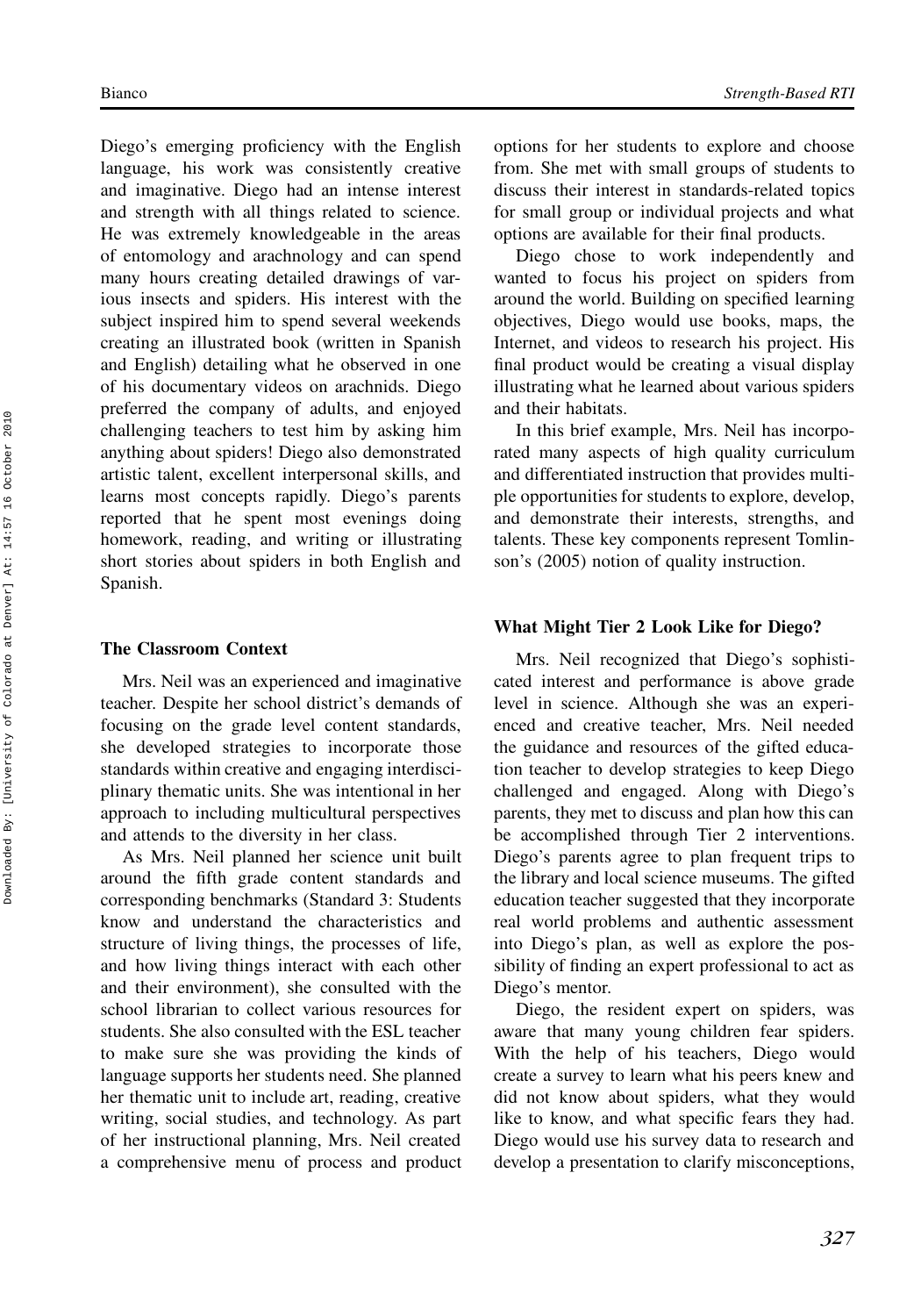Diego's emerging proficiency with the English language, his work was consistently creative and imaginative. Diego had an intense interest and strength with all things related to science. He was extremely knowledgeable in the areas of entomology and arachnology and can spend many hours creating detailed drawings of various insects and spiders. His interest with the subject inspired him to spend several weekends creating an illustrated book (written in Spanish and English) detailing what he observed in one of his documentary videos on arachnids. Diego preferred the company of adults, and enjoyed challenging teachers to test him by asking him anything about spiders! Diego also demonstrated artistic talent, excellent interpersonal skills, and learns most concepts rapidly. Diego's parents reported that he spent most evenings doing homework, reading, and writing or illustrating short stories about spiders in both English and Spanish.

#### The Classroom Context

Mrs. Neil was an experienced and imaginative teacher. Despite her school district's demands of focusing on the grade level content standards, she developed strategies to incorporate those standards within creative and engaging interdisciplinary thematic units. She was intentional in her approach to including multicultural perspectives and attends to the diversity in her class.

As Mrs. Neil planned her science unit built around the fifth grade content standards and corresponding benchmarks (Standard 3: Students know and understand the characteristics and structure of living things, the processes of life, and how living things interact with each other and their environment), she consulted with the school librarian to collect various resources for students. She also consulted with the ESL teacher to make sure she was providing the kinds of language supports her students need. She planned her thematic unit to include art, reading, creative writing, social studies, and technology. As part of her instructional planning, Mrs. Neil created a comprehensive menu of process and product options for her students to explore and choose from. She met with small groups of students to discuss their interest in standards-related topics for small group or individual projects and what options are available for their final products.

Diego chose to work independently and wanted to focus his project on spiders from around the world. Building on specified learning objectives, Diego would use books, maps, the Internet, and videos to research his project. His final product would be creating a visual display illustrating what he learned about various spiders and their habitats.

In this brief example, Mrs. Neil has incorporated many aspects of high quality curriculum and differentiated instruction that provides multiple opportunities for students to explore, develop, and demonstrate their interests, strengths, and talents. These key components represent Tomlinson's (2005) notion of quality instruction.

#### What Might Tier 2 Look Like for Diego?

Mrs. Neil recognized that Diego's sophisticated interest and performance is above grade level in science. Although she was an experienced and creative teacher, Mrs. Neil needed the guidance and resources of the gifted education teacher to develop strategies to keep Diego challenged and engaged. Along with Diego's parents, they met to discuss and plan how this can be accomplished through Tier 2 interventions. Diego's parents agree to plan frequent trips to the library and local science museums. The gifted education teacher suggested that they incorporate real world problems and authentic assessment into Diego's plan, as well as explore the possibility of finding an expert professional to act as Diego's mentor.

Diego, the resident expert on spiders, was aware that many young children fear spiders. With the help of his teachers, Diego would create a survey to learn what his peers knew and did not know about spiders, what they would like to know, and what specific fears they had. Diego would use his survey data to research and develop a presentation to clarify misconceptions,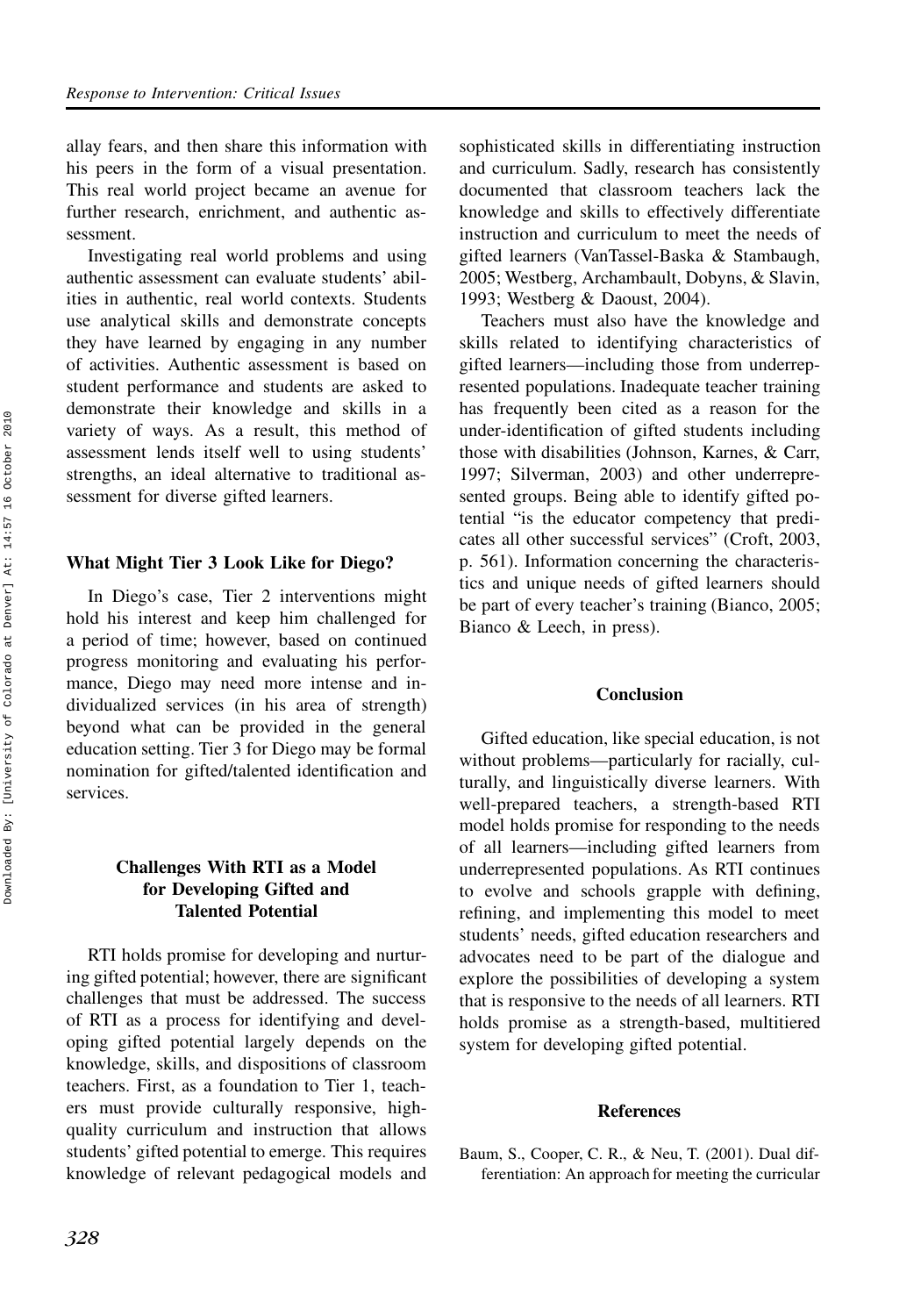allay fears, and then share this information with his peers in the form of a visual presentation. This real world project became an avenue for further research, enrichment, and authentic assessment.

Investigating real world problems and using authentic assessment can evaluate students' abilities in authentic, real world contexts. Students use analytical skills and demonstrate concepts they have learned by engaging in any number of activities. Authentic assessment is based on student performance and students are asked to demonstrate their knowledge and skills in a variety of ways. As a result, this method of assessment lends itself well to using students' strengths, an ideal alternative to traditional assessment for diverse gifted learners.

#### What Might Tier 3 Look Like for Diego?

In Diego's case, Tier 2 interventions might hold his interest and keep him challenged for a period of time; however, based on continued progress monitoring and evaluating his performance, Diego may need more intense and individualized services (in his area of strength) beyond what can be provided in the general education setting. Tier 3 for Diego may be formal nomination for gifted/talented identification and services.

## Challenges With RTI as a Model for Developing Gifted and Talented Potential

RTI holds promise for developing and nurturing gifted potential; however, there are significant challenges that must be addressed. The success of RTI as a process for identifying and developing gifted potential largely depends on the knowledge, skills, and dispositions of classroom teachers. First, as a foundation to Tier 1, teachers must provide culturally responsive, highquality curriculum and instruction that allows students' gifted potential to emerge. This requires knowledge of relevant pedagogical models and

sophisticated skills in differentiating instruction and curriculum. Sadly, research has consistently documented that classroom teachers lack the knowledge and skills to effectively differentiate instruction and curriculum to meet the needs of gifted learners (VanTassel-Baska & Stambaugh, 2005; Westberg, Archambault, Dobyns, & Slavin, 1993; Westberg & Daoust, 2004).

Teachers must also have the knowledge and skills related to identifying characteristics of gifted learners—including those from underrepresented populations. Inadequate teacher training has frequently been cited as a reason for the under-identification of gifted students including those with disabilities (Johnson, Karnes, & Carr, 1997; Silverman, 2003) and other underrepresented groups. Being able to identify gifted potential "is the educator competency that predicates all other successful services" (Croft, 2003, p. 561). Information concerning the characteristics and unique needs of gifted learners should be part of every teacher's training (Bianco, 2005; Bianco & Leech, in press).

#### Conclusion

Gifted education, like special education, is not without problems—particularly for racially, culturally, and linguistically diverse learners. With well-prepared teachers, a strength-based RTI model holds promise for responding to the needs of all learners—including gifted learners from underrepresented populations. As RTI continues to evolve and schools grapple with defining, refining, and implementing this model to meet students' needs, gifted education researchers and advocates need to be part of the dialogue and explore the possibilities of developing a system that is responsive to the needs of all learners. RTI holds promise as a strength-based, multitiered system for developing gifted potential.

#### References

Baum, S., Cooper, C. R., & Neu, T. (2001). Dual differentiation: An approach for meeting the curricular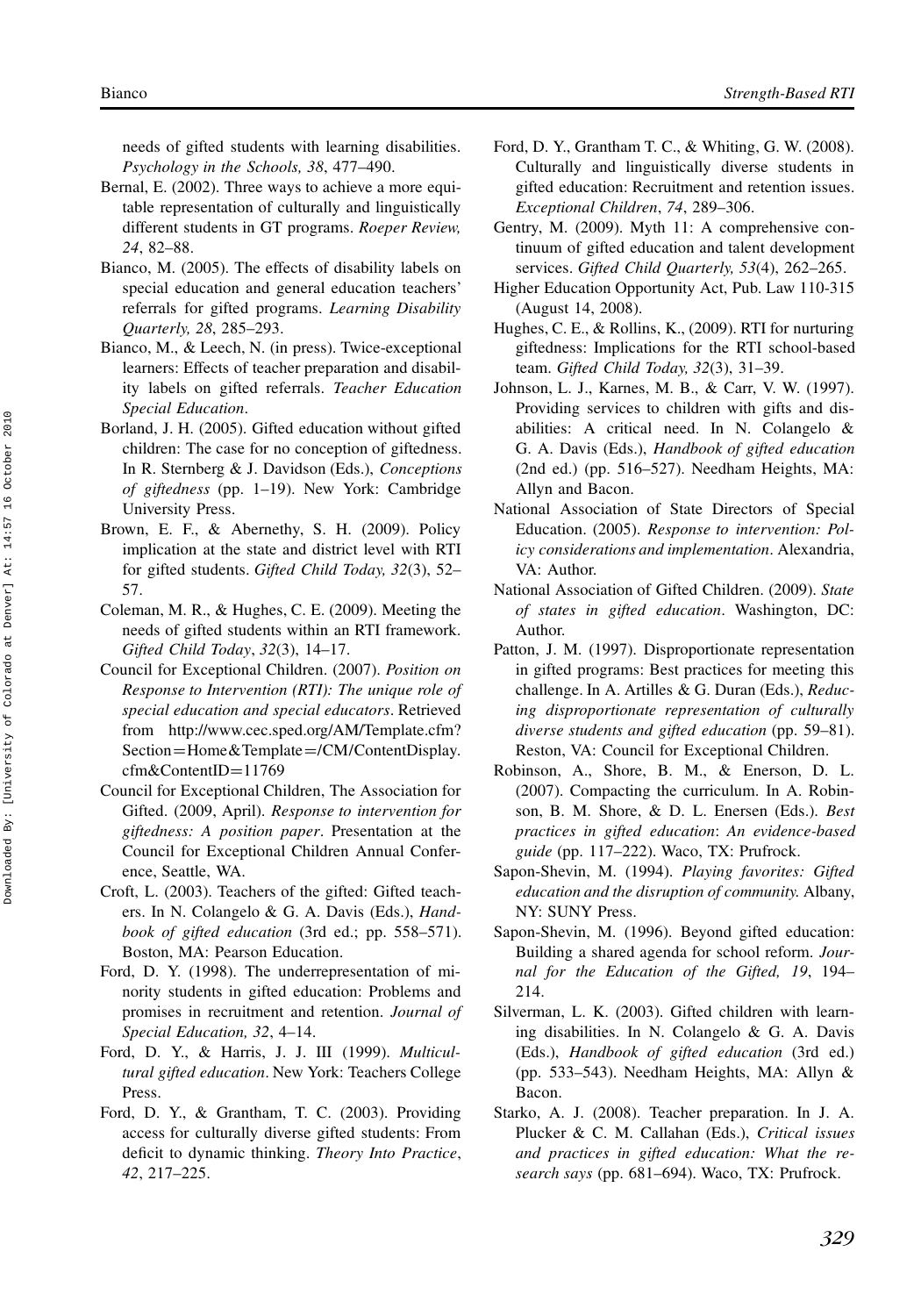needs of gifted students with learning disabilities. Psychology in the Schools, 38, 477–490.

- Bernal, E. (2002). Three ways to achieve a more equitable representation of culturally and linguistically different students in GT programs. Roeper Review, 24, 82–88.
- Bianco, M. (2005). The effects of disability labels on special education and general education teachers' referrals for gifted programs. Learning Disability Quarterly, 28, 285–293.
- Bianco, M., & Leech, N. (in press). Twice-exceptional learners: Effects of teacher preparation and disability labels on gifted referrals. Teacher Education Special Education.
- Borland, J. H. (2005). Gifted education without gifted children: The case for no conception of giftedness. In R. Sternberg & J. Davidson (Eds.), Conceptions of giftedness (pp. 1–19). New York: Cambridge University Press.
- Brown, E. F., & Abernethy, S. H. (2009). Policy implication at the state and district level with RTI for gifted students. Gifted Child Today, 32(3), 52– 57.
- Coleman, M. R., & Hughes, C. E. (2009). Meeting the needs of gifted students within an RTI framework. Gifted Child Today, 32(3), 14–17.
- Council for Exceptional Children. (2007). Position on Response to Intervention (RTI): The unique role of special education and special educators. Retrieved from http://www.cec.sped.org/AM/Template.cfm? Section=Home&Template=/CM/ContentDisplay. cfm&ContentID=11769
- Council for Exceptional Children, The Association for Gifted. (2009, April). Response to intervention for giftedness: A position paper. Presentation at the Council for Exceptional Children Annual Conference, Seattle, WA.
- Croft, L. (2003). Teachers of the gifted: Gifted teachers. In N. Colangelo & G. A. Davis (Eds.), Handbook of gifted education (3rd ed.; pp. 558–571). Boston, MA: Pearson Education.
- Ford, D. Y. (1998). The underrepresentation of minority students in gifted education: Problems and promises in recruitment and retention. Journal of Special Education, 32, 4–14.
- Ford, D. Y., & Harris, J. J. III (1999). Multicultural gifted education. New York: Teachers College Press.
- Ford, D. Y., & Grantham, T. C. (2003). Providing access for culturally diverse gifted students: From deficit to dynamic thinking. Theory Into Practice, 42, 217–225.
- Ford, D. Y., Grantham T. C., & Whiting, G. W. (2008). Culturally and linguistically diverse students in gifted education: Recruitment and retention issues. Exceptional Children, 74, 289–306.
- Gentry, M. (2009). Myth 11: A comprehensive continuum of gifted education and talent development services. Gifted Child Quarterly, 53(4), 262-265.
- Higher Education Opportunity Act, Pub. Law 110-315 (August 14, 2008).
- Hughes, C. E., & Rollins, K., (2009). RTI for nurturing giftedness: Implications for the RTI school-based team. Gifted Child Today, 32(3), 31-39.
- Johnson, L. J., Karnes, M. B., & Carr, V. W. (1997). Providing services to children with gifts and disabilities: A critical need. In N. Colangelo & G. A. Davis (Eds.), Handbook of gifted education (2nd ed.) (pp. 516–527). Needham Heights, MA: Allyn and Bacon.
- National Association of State Directors of Special Education. (2005). Response to intervention: Policy considerations and implementation. Alexandria, VA: Author.
- National Association of Gifted Children. (2009). State of states in gifted education. Washington, DC: Author.
- Patton, J. M. (1997). Disproportionate representation in gifted programs: Best practices for meeting this challenge. In A. Artilles & G. Duran (Eds.), Reducing disproportionate representation of culturally diverse students and gifted education (pp. 59–81). Reston, VA: Council for Exceptional Children.
- Robinson, A., Shore, B. M., & Enerson, D. L. (2007). Compacting the curriculum. In A. Robinson, B. M. Shore, & D. L. Enersen (Eds.). Best practices in gifted education: An evidence-based guide (pp. 117–222). Waco, TX: Prufrock.
- Sapon-Shevin, M. (1994). Playing favorites: Gifted education and the disruption of community. Albany, NY: SUNY Press.
- Sapon-Shevin, M. (1996). Beyond gifted education: Building a shared agenda for school reform. Journal for the Education of the Gifted, 19, 194– 214.
- Silverman, L. K. (2003). Gifted children with learning disabilities. In N. Colangelo & G. A. Davis (Eds.), Handbook of gifted education (3rd ed.) (pp. 533–543). Needham Heights, MA: Allyn & Bacon.
- Starko, A. J. (2008). Teacher preparation. In J. A. Plucker & C. M. Callahan (Eds.), Critical issues and practices in gifted education: What the research says (pp. 681–694). Waco, TX: Prufrock.